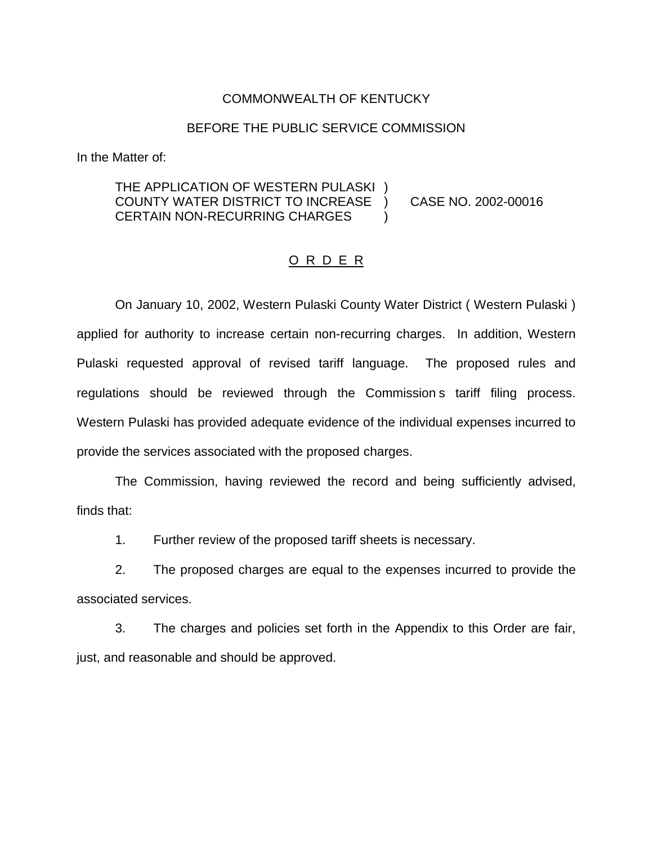### COMMONWEALTH OF KENTUCKY

#### BEFORE THE PUBLIC SERVICE COMMISSION

In the Matter of:

## THE APPLICATION OF WESTERN PULASKI ) COUNTY WATER DISTRICT TO INCREASE ) CASE NO. 2002-00016 CERTAIN NON-RECURRING CHARGES )

#### O R D E R

On January 10, 2002, Western Pulaski County Water District ( Western Pulaski ) applied for authority to increase certain non-recurring charges. In addition, Western Pulaski requested approval of revised tariff language. The proposed rules and regulations should be reviewed through the Commission s tariff filing process. Western Pulaski has provided adequate evidence of the individual expenses incurred to provide the services associated with the proposed charges.

The Commission, having reviewed the record and being sufficiently advised, finds that:

1. Further review of the proposed tariff sheets is necessary.

2. The proposed charges are equal to the expenses incurred to provide the associated services.

3. The charges and policies set forth in the Appendix to this Order are fair, just, and reasonable and should be approved.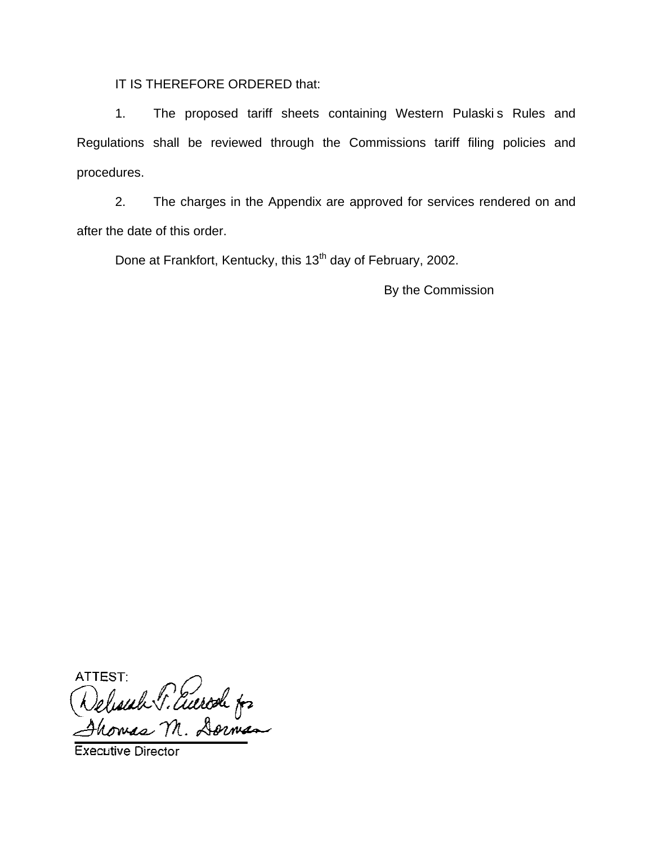IT IS THEREFORE ORDERED that:

1. The proposed tariff sheets containing Western Pulaskis Rules and Regulations shall be reviewed through the Commissions tariff filing policies and procedures.

2. The charges in the Appendix are approved for services rendered on and after the date of this order.

Done at Frankfort, Kentucky, this 13<sup>th</sup> day of February, 2002.

By the Commission

ATTEST: Delisah P. Aurod fr

**Executive Director**